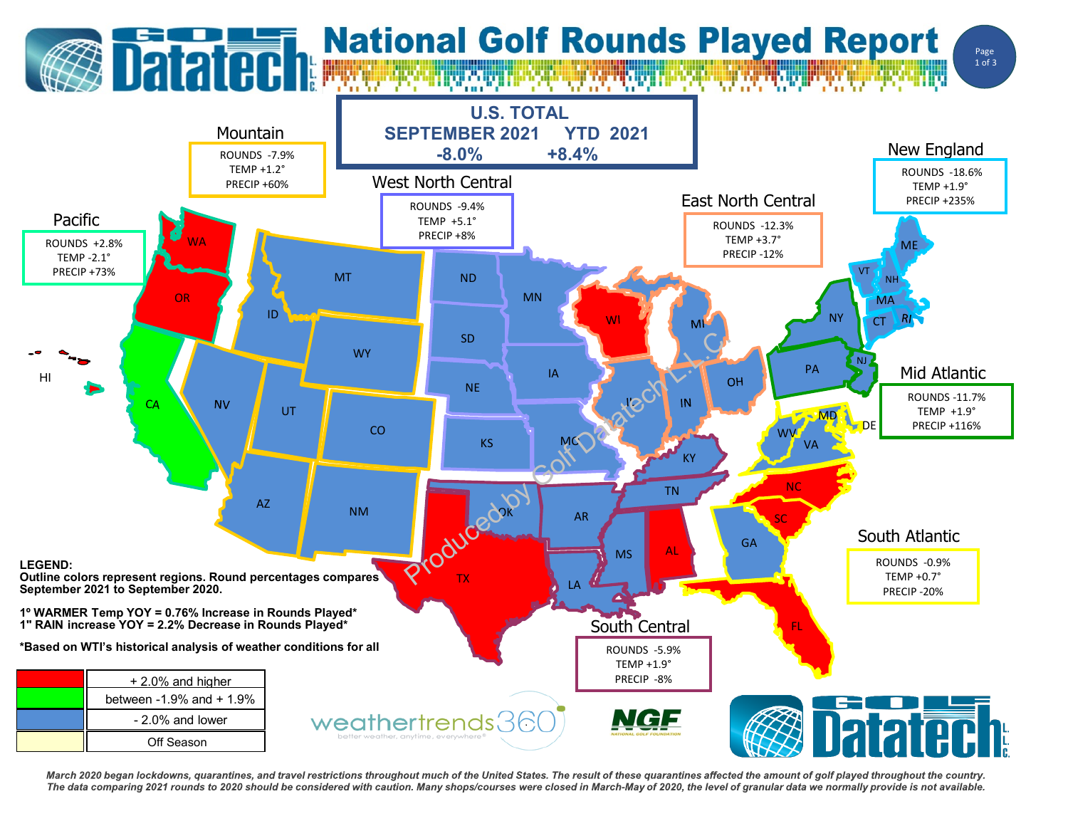## **Datated: National Golf Rounds Played Report**

Page 1 of 3



March 2020 began lockdowns, quarantines, and travel restrictions throughout much of the United States. The result of these quarantines affected the amount of golf played throughout the country. The data comparing 2021 rounds to 2020 should be considered with caution. Many shops/courses were closed in March-May of 2020, the level of granular data we normally provide is not available.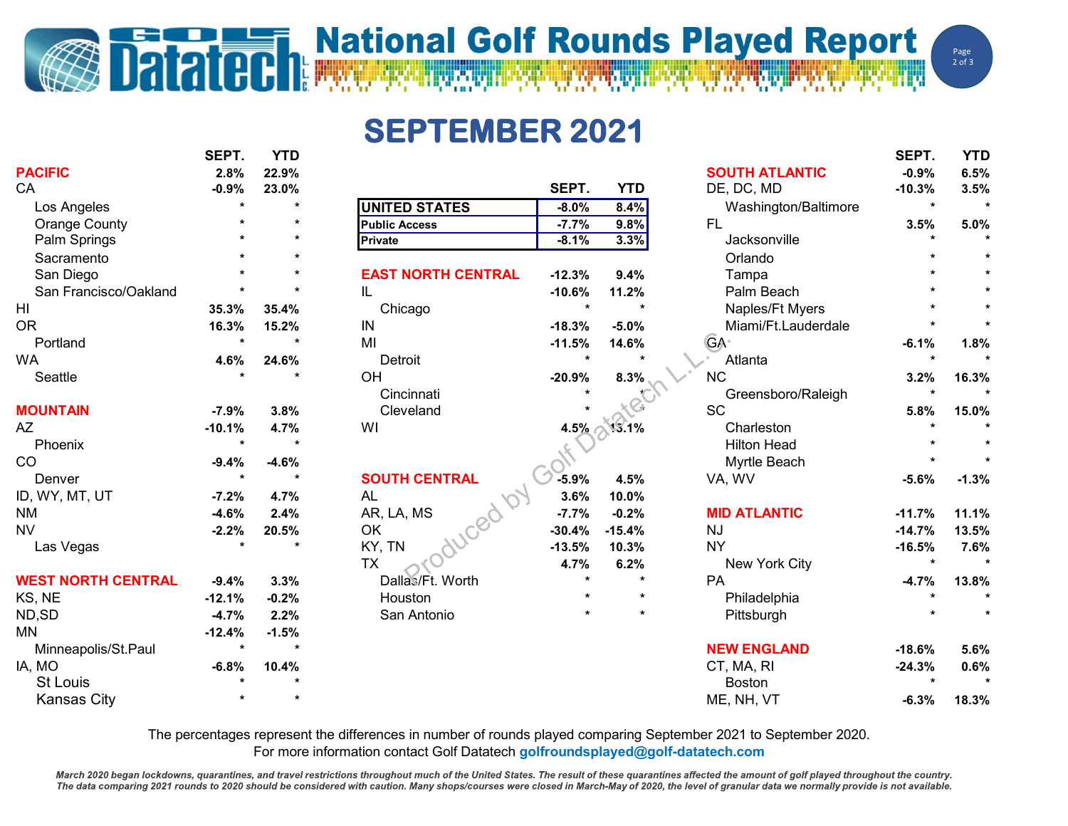## **Datated National Golf Rounds Played Report**

**SEPTEMBER 2021**

|                           | JLI 1.   | .       |                           |                      |            |                       | JLI 1.   | .       |
|---------------------------|----------|---------|---------------------------|----------------------|------------|-----------------------|----------|---------|
| <b>PACIFIC</b>            | 2.8%     | 22.9%   |                           |                      |            | <b>SOUTH ATLANTIC</b> | $-0.9%$  | 6.5%    |
| CA                        | $-0.9%$  | 23.0%   |                           | SEPT.                | <b>YTD</b> | DE, DC, MD            | $-10.3%$ | 3.5%    |
| Los Angeles               |          |         | <b>UNITED STATES</b>      | $-8.0\%$             | 8.4%       | Washington/Baltimore  | $\star$  |         |
| <b>Orange County</b>      |          |         | <b>Public Access</b>      | $-7.7%$              | 9.8%       | <b>FL</b>             | 3.5%     | 5.0%    |
| Palm Springs              |          |         | <b>Private</b>            | $-8.1%$              | 3.3%       | Jacksonville          |          |         |
| Sacramento                |          |         |                           |                      |            | Orlando               |          |         |
| San Diego                 |          |         | <b>EAST NORTH CENTRAL</b> | $-12.3%$             | 9.4%       | Tampa                 |          |         |
| San Francisco/Oakland     |          |         | IL.                       | $-10.6%$             | 11.2%      | Palm Beach            |          |         |
| HI                        | 35.3%    | 35.4%   | Chicago                   | $\star$              |            | Naples/Ft Myers       |          |         |
| <b>OR</b>                 | 16.3%    | 15.2%   | IN                        | $-18.3%$             | $-5.0%$    | Miami/Ft.Lauderdale   |          |         |
| Portland                  |          |         | MI                        | $-11.5%$             | 14.6%      | <b>GA</b>             | $-6.1%$  | 1.8%    |
| <b>WA</b>                 | 4.6%     | 24.6%   | Detroit                   | $\ddot{\phantom{0}}$ |            | Atlanta               |          |         |
| Seattle                   |          |         | OH                        | $-20.9%$             | 8.3%       | <b>NC</b>             | 3.2%     | 16.3%   |
|                           |          |         | Cincinnati                |                      |            | Greensboro/Raleigh    | $\star$  |         |
| <b>MOUNTAIN</b>           | $-7.9%$  | 3.8%    | Cleveland                 |                      |            | <b>SC</b>             | 5.8%     | 15.0%   |
| AZ                        | $-10.1%$ | 4.7%    | WI                        | 4.5%                 | 13.1%      | Charleston            |          |         |
| Phoenix                   |          |         |                           |                      |            | <b>Hilton Head</b>    |          |         |
| CO                        | $-9.4%$  | $-4.6%$ |                           |                      |            | Myrtle Beach          |          |         |
| Denver                    | $\star$  | $\star$ | <b>SOUTH CENTRAL</b>      | $-5.9%$              | 4.5%       | VA, WV                | $-5.6%$  | $-1.3%$ |
| ID, WY, MT, UT            | $-7.2%$  | 4.7%    | <b>AL</b>                 | 3.6%                 | 10.0%      |                       |          |         |
| <b>NM</b>                 | $-4.6%$  | 2.4%    | AR, LA, MS                | $-7.7%$              | $-0.2%$    | <b>MID ATLANTIC</b>   | $-11.7%$ | 11.1%   |
| <b>NV</b>                 | $-2.2%$  | 20.5%   | OK                        | $-30.4%$             | $-15.4%$   | <b>NJ</b>             | $-14.7%$ | 13.5%   |
| Las Vegas                 |          |         | KY, TN                    | $-13.5%$             | 10.3%      | <b>NY</b>             | $-16.5%$ | 7.6%    |
|                           |          |         | <b>TX</b>                 | 4.7%                 | 6.2%       | New York City         | $\star$  |         |
| <b>WEST NORTH CENTRAL</b> | $-9.4%$  | 3.3%    | Dallas/Ft. Worth          |                      | $\star$    | PA                    | $-4.7%$  | 13.8%   |
| KS, NE                    | $-12.1%$ | $-0.2%$ | Houston                   |                      |            | Philadelphia          |          |         |
| ND,SD                     | $-4.7%$  | 2.2%    | San Antonio               |                      |            | Pittsburgh            |          |         |
| <b>MN</b>                 | $-12.4%$ | $-1.5%$ |                           |                      |            |                       |          |         |
| Minneapolis/St.Paul       |          |         |                           |                      |            | <b>NEW ENGLAND</b>    | $-18.6%$ | 5.6%    |
| IA, MO                    | $-6.8%$  | 10.4%   |                           |                      |            | CT, MA, RI            | $-24.3%$ | 0.6%    |
| St Louis                  |          |         |                           |                      |            | <b>Boston</b>         |          |         |
| Kansas City               |          |         |                           |                      |            | MF NH VT              | -6 3%    | 18.3%   |

|                           |          |            | <b>SOUTH ATLANTIC</b> | $-0.9%$  | 6.5%    |
|---------------------------|----------|------------|-----------------------|----------|---------|
|                           | SEPT.    | <b>YTD</b> | DE, DC, MD            | $-10.3%$ | 3.5%    |
| <b>UNITED STATES</b>      | $-8.0%$  | 8.4%       | Washington/Baltimore  | $\star$  | ×       |
| <b>Public Access</b>      | $-7.7%$  | 9.8%       | <b>FL</b>             | 3.5%     | 5.0%    |
| <b>Private</b>            | $-8.1%$  | 3.3%       | Jacksonville          | $\star$  | ×       |
|                           |          |            | Orlando               | $\ast$   |         |
| <b>EAST NORTH CENTRAL</b> | $-12.3%$ | 9.4%       | Tampa                 | $\star$  | ×       |
| IL                        | $-10.6%$ | 11.2%      | Palm Beach            | $\star$  |         |
| Chicago                   | $\star$  | $\star$    | Naples/Ft Myers       | *        | ×       |
| IN                        | $-18.3%$ | $-5.0%$    | Miami/Ft.Lauderdale   | $\star$  |         |
| MI                        | $-11.5%$ | 14.6%      | <b>GA</b>             | $-6.1%$  | 1.8%    |
| Detroit                   | $\star$  | $\star$    | Atlanta               | $\star$  | ×       |
| OH                        | $-20.9%$ | 8.3%       | <b>NC</b>             | 3.2%     | 16.3%   |
| Cincinnati                |          |            | Greensboro/Raleigh    | $\star$  |         |
| Cleveland                 |          |            | <b>SC</b>             | 5.8%     | 15.0%   |
| WI                        | 4.5%     | 13.1%      | Charleston            | $\star$  | $\star$ |
|                           |          |            | <b>Hilton Head</b>    | $\star$  |         |
|                           |          |            | Myrtle Beach          | $\star$  |         |
| <b>SOUTH CENTRAL</b>      | $-5.9%$  | 4.5%       | VA, WV                | $-5.6%$  | $-1.3%$ |
| <b>AL</b>                 | 3.6%     | 10.0%      |                       |          |         |
| AR, LA, MS                | $-7.7%$  | $-0.2%$    | <b>MID ATLANTIC</b>   | $-11.7%$ | 11.1%   |
| OK                        | $-30.4%$ | $-15.4%$   | <b>NJ</b>             | $-14.7%$ | 13.5%   |
| KY, TN                    | $-13.5%$ | 10.3%      | <b>NY</b>             | $-16.5%$ | 7.6%    |
| <b>TX</b>                 | 4.7%     | 6.2%       | New York City         | $\star$  | ×       |
| Dallas/Ft. Worth          | ÷        | $\star$    | <b>PA</b>             | $-4.7%$  | 13.8%   |
| Houston                   | $\star$  | $\star$    | Philadelphia          | $\star$  | ×       |
| San Antonio               | *        | $\star$    | Pittsburgh            | $\star$  |         |
|                           |          |            | <b>NEW ENGLAND</b>    | $-18.6%$ | 5.6%    |
|                           |          |            | CT, MA, RI            | $-24.3%$ | 0.6%    |

|                           | SEPT.    | <b>YTD</b>           |                           |          |            |                       | SEPT.    | <b>YTD</b> |
|---------------------------|----------|----------------------|---------------------------|----------|------------|-----------------------|----------|------------|
| <b>PACIFIC</b>            | 2.8%     | 22.9%                |                           |          |            | <b>SOUTH ATLANTIC</b> | $-0.9%$  | 6.5%       |
| CA                        | $-0.9%$  | 23.0%                |                           | SEPT.    | <b>YTD</b> | DE, DC, MD            | $-10.3%$ | 3.5%       |
| Los Angeles               |          |                      | <b>UNITED STATES</b>      | $-8.0%$  | 8.4%       | Washington/Baltimore  | $\star$  | $\star$    |
| <b>Orange County</b>      |          |                      | <b>Public Access</b>      | $-7.7%$  | 9.8%       | <b>FL</b>             | 3.5%     | 5.0%       |
| Palm Springs              |          |                      | Private                   | $-8.1%$  | 3.3%       | Jacksonville          |          | $\star$    |
| Sacramento                |          | $\star$              |                           |          |            | Orlando               |          |            |
| San Diego                 |          | $\star$              | <b>EAST NORTH CENTRAL</b> | $-12.3%$ | 9.4%       | Tampa                 |          | $\star$    |
| San Francisco/Oakland     |          | $\ddot{\phantom{a}}$ | IL                        | $-10.6%$ | 11.2%      | Palm Beach            |          |            |
| HI                        | 35.3%    | 35.4%                | Chicago                   |          |            | Naples/Ft Myers       |          |            |
| 0R                        | 16.3%    | 15.2%                | IN                        | $-18.3%$ | $-5.0%$    | Miami/Ft.Lauderdale   |          | $\star$    |
| Portland                  | $\star$  | $\star$              | MI                        | $-11.5%$ | 14.6%      | <b>GA</b>             | $-6.1%$  | 1.8%       |
| WA                        | 4.6%     | 24.6%                | Detroit                   |          | $\star$    | Atlanta               | $\star$  | $\star$    |
| Seattle                   |          | $\star$              | <b>OH</b>                 | $-20.9%$ | 8.3%       | <b>NC</b>             | 3.2%     | 16.3%      |
|                           |          |                      | Cincinnati                |          |            | Greensboro/Raleigh    | $\star$  |            |
| <b>MOUNTAIN</b>           | $-7.9%$  | 3.8%                 | Cleveland                 |          |            | <b>SC</b>             | 5.8%     | 15.0%      |
| AΖ                        | $-10.1%$ | 4.7%                 | WI                        | 4.5%     | 13.1%      | Charleston            |          |            |
| Phoenix                   | $\star$  | $\mathbf{A}$         |                           |          |            | <b>Hilton Head</b>    |          |            |
| CO                        | $-9.4%$  | $-4.6%$              |                           |          |            | Myrtle Beach          |          |            |
| Denver                    | $\star$  | $\star$              | <b>SOUTH CENTRAL</b>      | $-5.9%$  | 4.5%       | VA, WV                | $-5.6%$  | $-1.3%$    |
| ID, WY, MT, UT            | $-7.2%$  | 4.7%                 | AL                        | 3.6%     | 10.0%      |                       |          |            |
| ΝM                        | $-4.6%$  | 2.4%                 | AR, LA, MS                | $-7.7%$  | $-0.2%$    | <b>MID ATLANTIC</b>   | $-11.7%$ | 11.1%      |
| NV                        | $-2.2%$  | 20.5%                | OK                        | $-30.4%$ | $-15.4%$   | <b>NJ</b>             | $-14.7%$ | 13.5%      |
| Las Vegas                 |          | $\star$              | KY, TN                    | $-13.5%$ | 10.3%      | <b>NY</b>             | $-16.5%$ | 7.6%       |
|                           |          |                      | <b>TX</b>                 | 4.7%     | 6.2%       | New York City         | $\star$  | $\star$    |
| <b>WEST NORTH CENTRAL</b> | $-9.4%$  | 3.3%                 | Dallas/Ft. Worth          |          |            | PA                    | $-4.7%$  | 13.8%      |
| KS, NE                    | $-12.1%$ | $-0.2%$              | Houston                   |          | $\star$    | Philadelphia          |          |            |
| ND,SD                     | $-4.7%$  | 2.2%                 | San Antonio               |          | $\star$    | Pittsburgh            |          |            |
| MN                        | $-12.4%$ | $-1.5%$              |                           |          |            |                       |          |            |
| Minneapolis/St.Paul       | $\star$  | $\star$              |                           |          |            | <b>NEW ENGLAND</b>    | $-18.6%$ | 5.6%       |
| IA, MO                    | $-6.8%$  | 10.4%                |                           |          |            | CT, MA, RI            | $-24.3%$ | 0.6%       |
| <b>St Louis</b>           |          |                      |                           |          |            | <b>Boston</b>         |          |            |
| <b>Kansas City</b>        |          |                      |                           |          |            | ME, NH, VT            | $-6.3%$  | 18.3%      |
|                           |          |                      |                           |          |            |                       |          |            |

The percentages represent the differences in number of rounds played comparing September 2021 to September 2020.

For more information contact Golf Datatech **golfroundsplayed@golf-datatech.com** 

March 2020 began lockdowns, quarantines, and travel restrictions throughout much of the United States. The result of these quarantines affected the amount of golf played throughout the country. The data comparing 2021 rounds to 2020 should be considered with caution. Many shops/courses were closed in March-May of 2020, the level of granular data we normally provide is not available.